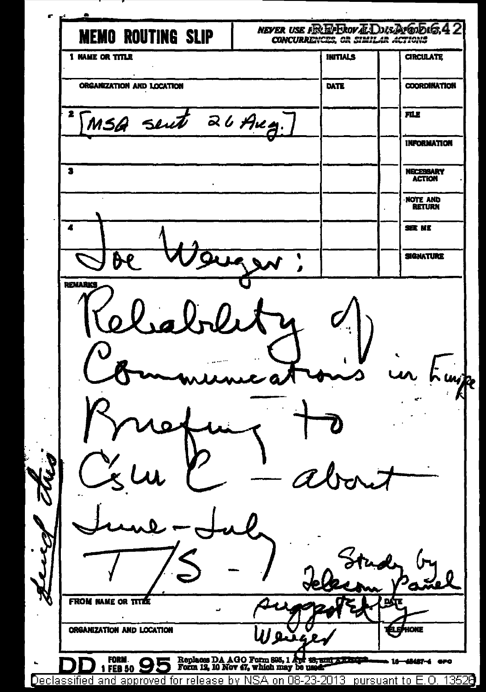÷ NEVER USE ARE EVERY ALDUS AMERICA 4 2 **MEMO ROUTING SLIP** CONCURRENCES OR SIMILAR ACTIONS **T NAME OR TITLE INITIALS CIRCULATE** ORGANIZATION AND LOCATION  $\overline{\text{MTE}}$ **COORDINATION** 26 Aug. जा ह MSQ sent **INFORMATION**  $\overline{\mathbf{a}}$ NECESSARY NOTE AND z **SIGE MR SIGNATURE** ĥ REMARKS wje **FROM NAME OR** m **ORGANIZATION AND LOCATION** FORM Replaces DA AGO Form 895, 1 Apr 18, 18, and 3,000 p **MAST-4 GPO FEB 50** Declassified and approved for release by NSA on 08-23-2013 pursuant to E.O. 13528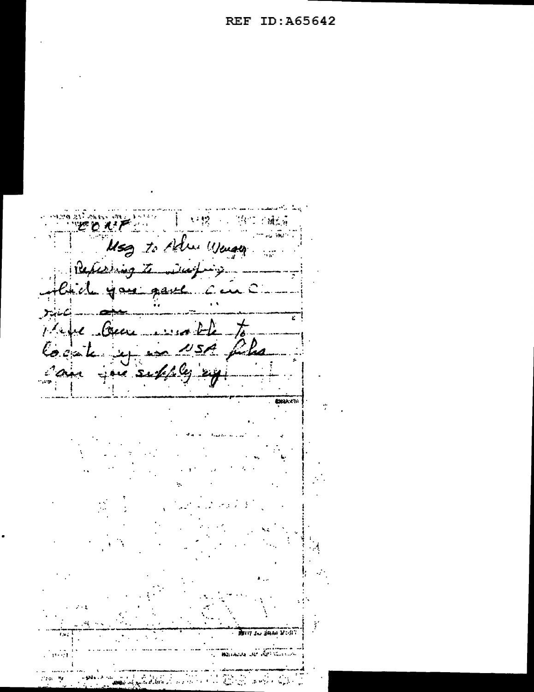**REDATE** Mag to Adm Wenger Repeating to waying - you gave c ابمبغتكا ricci ....... Ξ  $-t$ before them were the j. Julia Cocak  $\sim$   $\sqrt{5}$ ی ج **CHARLES** TIT IN BAN VON an<br>Maradur de Afrikania  $\sim$   $\sim$  $\mathcal{L}_{\mathcal{A}}$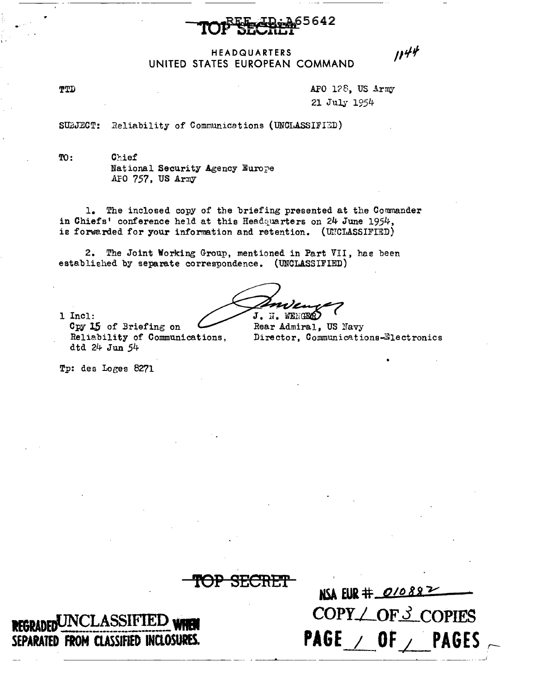

### HEADQUARTERS UNITED STATES EUROPEAN COMMAND

APO 128. US Army 21 July 1954

 $1144$ 

Reliability of Communications (UNCLASSIFIED) SUBJECT:

 $TO:$ Chief National Security Agency Europe APO 757, US Army

1. The inclosed copy of the briefing presented at the Commander in Chiefs' conference held at this Headquarters on 24 June 1954, is forwarded for your information and retention. (UNCLASSIFIED)

2. The Joint Working Group, mentioned in Part VII, has been established by separate correspondence. (UNCLASSIFIED)

J. N. WENGER

1 Incl:

TTD

Cpy 15 of Briefing on Reliability of Communications, dtd 24 Jun 54

Rear Admiral, US Navy Director, Communications-Electronics

Tp: des Loges 8271

UNCLASSIFI SEPARATED FROM CLASSIFIED INCLOSURES.

NSA EUR # 01088 COPY / OF 3 COPIES PAGE  $/$  OF  $/$ **PAGES**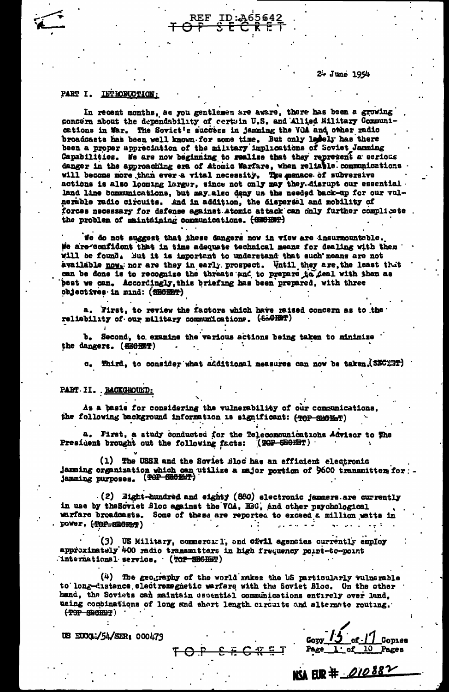2+ June 1954

#### PART I. LETHODUCTION:

In recent months, as you gentlemen are aware, there has been a growing concern about the dependability of certuin U.S. and Allied Military Communications in War. The Soviet's success in jamming the VOA and other radio broadcasts has been well known for some time. But only ledely has there been a proper appreciation of the military implications of Soviet Jamming Capabilities. We are now beginning to realize that they represent a serious danger in the approaching era of Atomic Warfare, when reliable communications will become more than ever a vital necessity. The menace of subversive actions is also looming larger, since not only may they disrupt our essential. land line communications, but may also deny us the needed back-up for our vulnerable radio circuits. And in addition, the dispersal and mobility of forces necessary for defense against atomic attack can only further complicate. the problem of maintaining communications. (SECHET)

Te do not suggest that these dangers now in view are insurmountable. We are confident that in time adequate technical means for dealing with them will be found. But it is important to understand that such means are not available nov<sub>1</sub> nor are they in early prospect. Until they are the least thit can be done is to recognize the threats and to prepare to deal with then as best we can. Accordingly, this briefing has been prepared, with three objectives in mind: (SHORET)

a. First, to review the factors which have reised concern as to the reliability of our military communications. (SBGHST)

b. Second, to examine the various actions being taken to minimize the dangers. (SEGET)

c. Third, to consider what additional measures can now be taken. (SEC: 77)

### PART II. BACKGROUND:

As a basis for considering the vulnerability of our communications, the following background information is significant: (TOP SMOHMT)

a. First, a study conducted for the Telecommunications Advisor to The (TOP SECTOR) President brought out the following facts:

(1) The USSR and the Soviet Bloc has an efficient electronic jamming organization which can utilize a major portion of 9600 transmitter for -

 $(2)$  Eight-hundred and eighty (860) electronic jammers are currently in use by the Soviet Bloc against the VOA, HEC, and other psychological warfare broadcasts. Some of these are reported to exceed a million watts in power. (TOP-SECRET) . . . . . .

(3) US Military, commercial, and oftil agencies currently employ approximately 400 radio transmitters in high frequency point-to-point international service. (TOP SHORM)

(4) The geography of the world makes the US particularly vulnerable to long-distance electromegnetic warfare with the Soviet Bloc. On the other hand, the Soviets can maintain essential communications entirely over land, using combinations of long and short length circuits and slternate routing. THE SECTION TO THE

OF SECRET

US EUCOLI/54/SER: 000473

 $cf$ - $\vert$   $\vert$  Copies  $G_{ODY}$  /  $J$ Page 1 of 10 Pages

NSA EUR # 010882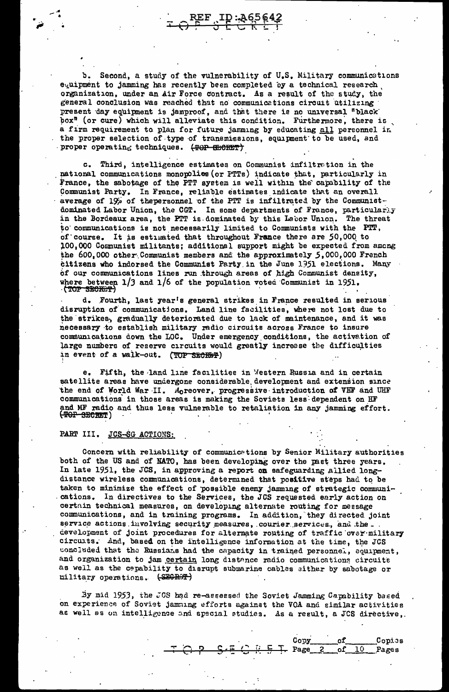Second, a study of the vulnerability of U.S. Military communications ъ. equipment to jamming has recently been completed by a technical research organization, under an Air Force contract. As a result of the study, the general conclusion was reached that no communications circuit utilizing present day equipment is jamproof, and that there is no universal "black box<sup>n</sup> (or cure) which will alleviate this condition. Furthermore, there is a firm requirement to plan for future jamming by educating all personnel in the proper selection of type of transmissions, equipment to be used, and proper operating techniques. (TOP SECRET)

c. Third, intelligence estimates on Communist infiltration in the national communications monopolies (or PTTs) indicate that, particularly in France, the sabotage of the PTT system is well within the capability of the Communist Party. In France, reliable estimates indicate that an overall average of 19% of thepersonnel of the PTT is infiltrated by the Communistdominated Labor Union, the CGT. In some departments of France, particularly in the Bordeaux area, the PTT is dominated by this Lebor Union. The threat to communications is not necessarily limited to Communists with the PTT, of course. It is estimated that throughout France there are 50,000 to 100,000 Communist militants; additional support might be expected from among the 600,000 other Communist members and the approximately 5,000,000 French citizens who indorsed the Communist Party in the June 1951 elections. Many of our communications lines run through areas of high Communist density, where between  $1/3$  and  $1/6$  of the population voted Communist in 1951.

d. Fourth, last year's general strikes in France resulted in serious disruption of communications. Land line facilities, where not lost due to the strikes, gradually deteriorated due to lack of maintenance, and it was necessary to establish military radio circuits across France to insure communications down the LOC. Under emergency conditions, the activation of large numbers of reserve circuits would greatly increase the difficulties in event of a walk-out. (TOP SECRET)

e. Fifth, the land line facilities in Western Russia and in certain satellite areas have undergone considerable development and extension since the end of World War II. Moreover, progressive introduction of VHF and UHF communications in those areas is making the Soviets less dependent on HF and MF radio and thus less vulnerable to retaliation in any jamming effort.  $($ TOROG $-$ 3BCROT $)$ 

#### PART III. JCS-SG ACTIONS:

Concern with reliability of communications by Senior Military authorities both of the US and of NATO, has been developing over the past three years. In late 1951, the JCS, in approving a report on safeguarding allied longdistance wireless communications, determined that positive steps had to be taken to minimize the effect of possible enemy jamming of strategic communications. In directives to the Services, the JCS requested early action on certain technical measures, on developing alternate routing for message communications, and in training programs. In addition, they directed joint service actions involving security measures, courier services, and the. development of joint procedures for alternate routing of traffic over military circuits. And, based on the intelligence information at the time, the JCS concluded that the Russians had the capacity in trained personnel, equipment, and organization to jam certain long distance radio communications circuits as well as the capability to disrupt submarine cables sither by sabotage or military operations. (SEGRET)

By mid 1953, the JGS had re-assessed the Soviet Jamming Capability based on experience of Soviet jamming efforts against the VOA and similar activities as well as on intelligence and special studies. As a result, a JCS directive,

|                                                        |  |  | Copy of Copies |
|--------------------------------------------------------|--|--|----------------|
| $T$ $Q$ $P$ $S$ $E$ $Q$ $H$ $E$ $F$ Page 2 of 10 Pages |  |  |                |
|                                                        |  |  |                |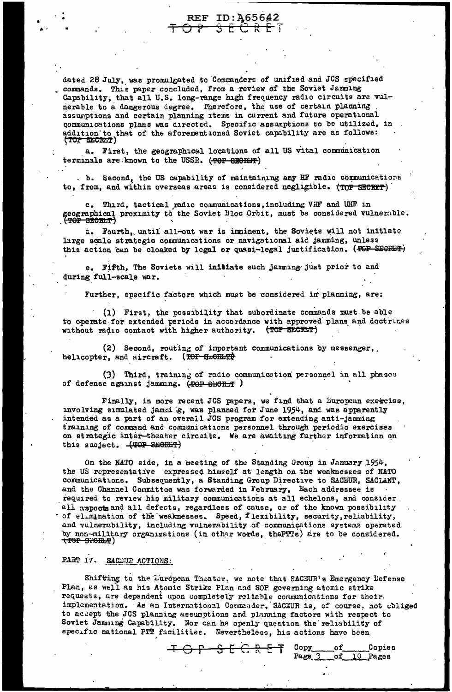dated 28 July, was promulgated to Commanders of unified and JCS specified commands. This paper concluded, from a review of the Soviet Jamming Capability, that all U.S. long-range high frequency radio circuits are vulnerable to a dangerous degree. Therefore, the use of certain planning assumptions and certain planning items in current and future operational communications plans was directed. Specific assumptions to be utilized, in addition to that of the aforementioned Soviet capability are as follows:<br>(TOF SECRET)

REF ID: 465642 えきせき

a. First, the geographical locations of all US vital communication terminals are known to the USSR. (TOP SECHET)

. b. Second, the US capability of maintaining any HF radio communications to, from, and within overseas areas is considered negligible. (TOP SECRET)

c. Third, tactical radio communications, including VHF and UHF in geographical proximity to the Soviet Bloc Orbit, must be considered vulnerable.

a. Fourth, until all-out war is imminent, the Soviets will not initiate large scale strategic communications or navigational aid jamming, unless this action can be cloaked by legal or quasi-legal justification. (TGP SEGRET)

e. Fifth, The Soviets will initiate such jamming just prior to and during full-scale war.

Further, specific factors which must be considered in planning, are:

(1) First, the possibility that subordinate commands must be able to operate for extended periods in accordance with approved plans and doctrices without radio contact with higher authority. (TOP SECRET)

(2) Second, routing of important communications by messenger, helicopter, and aircraft. (TOP SECRETT)

(3) Third, training of radio communication personnel in all phases of defense against jamming. (TOP SHORT )

Finally, in more recent JCS papers, we find that a European exercise, muvolving simulated jammig, was planned for June 1954, and was apparently intended as a part of an overall JCS program for extending anti-jamming training of command and communications personnel through periodic exercises on strategic inter-theater circuits. We are awaiting further information on this subject. (TOP SECRET)

On the NATO side, in a meeting of the Standing Group in January 1954, the US representative expressed himself at length on the weaknesses of NATO communications. Subsequently, a Standing Group Directive to SACEUR, SACLANT, and the Channel Committee was forwarded in February. Each addressee is required to review his military communications at all echelons, and consider. all aspects and all defects, regardless of cause, or of the known possibility of elimination of the weaknesses. Speed, flexibility, security, reliability, and vulnerability, including vulnerability of communications systems operated by non-military organizations (in other words, the PTTs) are to be considered.<br><del>(TOP SNOHP</del>)

# PART IV. SACTUR ACTIONS:

Shifting to the Luropean Theater, we note that SACEUR's Emergency Defense Plan, as well as his Atomic Strike Plan and SOP governing atomic strike requests, are dependent upon completely reliable communications for their. implementation. As an International Commander, SACZUR is, of course, not obliged to accept the JCS planning assumptions and planning factors with respect to Soviet Jamming Capability. Nor can be openly question the reliability of specific national PTT facilities. Nevertheless, his actions have been

Copy

Page<sub>2</sub>

оf

 $\circ \texttt{f}$ 

Copies

10 Pages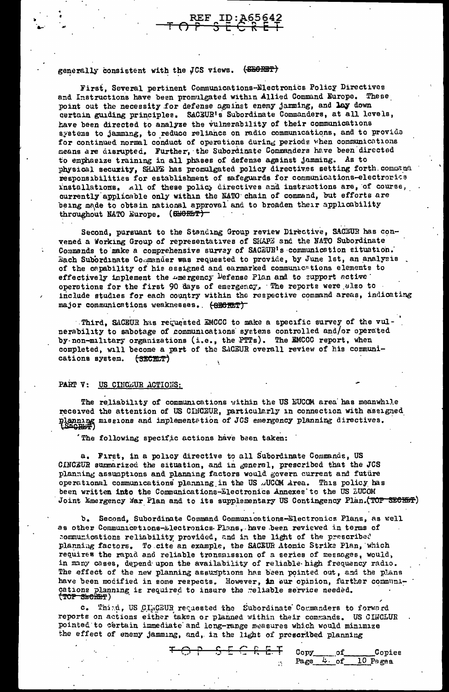# generally consistent with the JCS views. (SEORET)

First, Several pertinent Communications-Electronics Policy Directives and Instructions have been promulgated within Allied Command Europe. These point out the necessity for defense against enemy jamming, and lay down certain guiding principles. SACEUR's Subordinate Commanders, at all levels, have been directed to analyze the vulnerability of their communications systems to jamming, to reduce reliance on radio communications, and to provide for continued normal conduct of operations during periods when communications means are disrupted. Further, the Subordinate Commanders have been directed to emphasize training in all phases of defense against jamming. As to physical security, SHAPE has promulgated policy directives setting forth command responsibilities for establishment of safeguards for communications-electrorics rinstallations. All of these policy directives and instructions are, of course, currently applicable only within the NATO chain of command, but efforts are being made to obtain national approval and to broaden their applicability throughout NATO Europe. (SHORET)

Second, pursuant to the Standing Group review Directive, SACEUR has convened a Working Group of representatives of SHAPE and the NATO Subordinate Commands to make a comprehensive survey of SACEUR's communication situation. Each Subordinate Commander was requested to provide, by June 1st, an analysis of the capability of his assigned and earmarked communications elements to effectively implement the amergency Defense Plan and to support active operations for the first 90 days of emergency. The reports were also to include studies for each country within the respective command areas, indicating major communications weaknesses. (SECRET)

Third, SACEUR has requested EMCCC to make a specific survey of the vulnerability to sabotage of communications systems controlled and/or operated by non-military organizations (i.e., the PTTs). The EMCCC report, when completed, will become a part of the SACEUR overall review of his communications system. (SECELT)

### PART V: US CINCEUR ACTIONS:

The reliability of communications within the US EUCOM area has meanwhile received the attention of US CIMCEUR, particularly in connection with assigned planning missions and implementstion of JCS emergency planning directives.

The following specific actions have been taken:

a. First, in a policy directive to all Subordinate Commands, US CINCEUR summarized the situation, and in general, prescribed that the JCS planning assumptions and planning factors would govern current and future operational communications planning in the US .JUCOM Area. This policy has been written into the Communications-Electronics Annexes to the US EUCOM Joint Emergency War Plan and to its supplementary US Contingency Plan. (TOP SECRET)

b. Second, Subordinate Command Communications-Electronics Plans, as well as other Communications-Electronics Plans, have been reviewed in terms of communications reliability provided, and in the light of the prescribed planning factors. To cite an example, the SACEUR Atomic Strike Plan, which requires the rapid and reliable transmission of a series of messages, would, in many cases, depend upon the availability of reliable high frequency radio. The effect of the new planning assumptions has been pointed out, and the plans have been modified in some respects. However, in our opinion, further communications planning is required to insure the reliable service needed. (TOP SECRET)

c. Thind, US CIRCEUR requested the Subordinate Commanders to forward reports on actions either taken or planned within their commands. US CINCLUR pointed to certain immediate and long-range measures which would minimize the effect of enemy jamming, and, in the light of prescribed planning

|  |  |  |  | FOP SECRET Copy of Copies       |
|--|--|--|--|---------------------------------|
|  |  |  |  | $\therefore$ Page 4 of 10 Pages |
|  |  |  |  |                                 |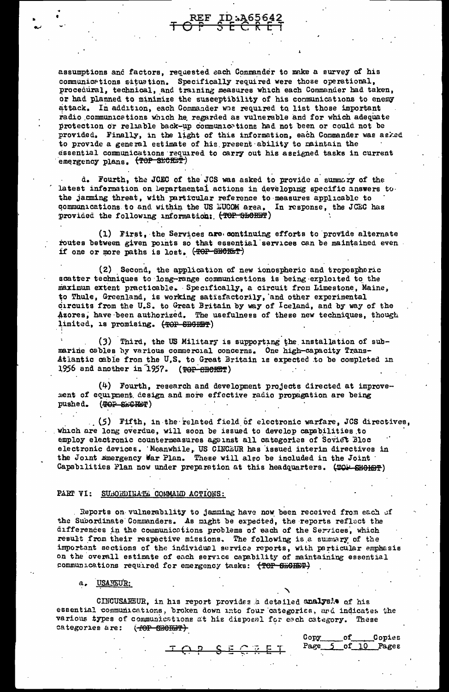assumptions and factors, requested each Commander to make a survey of his communications situation. Specifically required were those operational, procedural, technical, and training measures which each Commander had taken, or had planned to minimize the susceptibility of his communications to enemy attack. In addition, each Commander whe required to list those important radio communications which he regarded as vulnerable and for which adequate protection or reliable back-up communications had not been or could not be provided. Finally, in the light of this information, each Commander was asked to provide a general estimate of his present ability to maintain the essential communications required to carry out his assigned tasks in current emergency plans. (TOP SECRET)

REF ID:A656

d. Fourth, the JCEC of the JCS was asked to provide a summary of the latest information on Departmental actions in developing specific answers to. the jarming threat, with particular reference to measures applicable to communications to and within the US EUCOM area. In response, the JCEC has provided the following information: (TOP SECRET)

(1) First, the Services are continuing efforts to provide alternate routes between given points so that essential services can be maintained even if one or more paths is lost. (TOP SHORET)

(2) Second, the application of new ionospheric and tropospheric scatter techniques to long-range communications is being exploited to the maximum extent practicable. Specifically, a circuit from Limestone, Maine, to Thule, Greenland, is working satisfactorily, and other experimental circuits from the U.S. to Great Britain by way of Iceland, and by way of the Azores, have been authorized. The usefulness of these new techniques, though limited, is promising. (TOP SECRET)

(3) Third, the US Military is supporting the installation of submarine cables by various commercial concerns. One high-capacity Trans-Atlantic cable from the U.S. to Great Britain is expected to be completed in 1956 and another in 1957. (TOP CHORET)

(4) Fourth, research and development projects directed at improvement of equipment design and more effective radio propagation are being pushed. (POP SECRET)

(5) Fifth, in the related field of electronic warfare, JCS directives, which are long overdue, will soon be issued to develop capabilities to employ electronic countermeasures against all categories of Soviet Bloc electronic devices. Meanwhile, US CINCEUR has issued interim directives in the Joint Emergency War Plan. These will also be included in the Joint Capabilities Plan now under preparation at this headquarters. (TOP SHOHBT)

#### PART VI: SUBORDINATE COMMAND ACTIONS:

Reports on vulnerability to jamming have now been received from each of the Subordinate Commanders. As might be expected, the reports reflect the differences in the communications problems of each of the Services, which result from their respective missions. The following is a summary of the important sections of the individual service reports, with particular emphasis on the overall estimate of each service capability of maintaining essential communications required for emergency tasks: (TOP SECIET)

a. USAREUR:

CINCUSAREUR, in his report provides a detailed analys's of his essential communications, broken down into four categories, and indicates the various types of communications at his disposal for each category. These categories are: (TOP CHOHET)

Copy

Page

of

of

Copies

10 Pages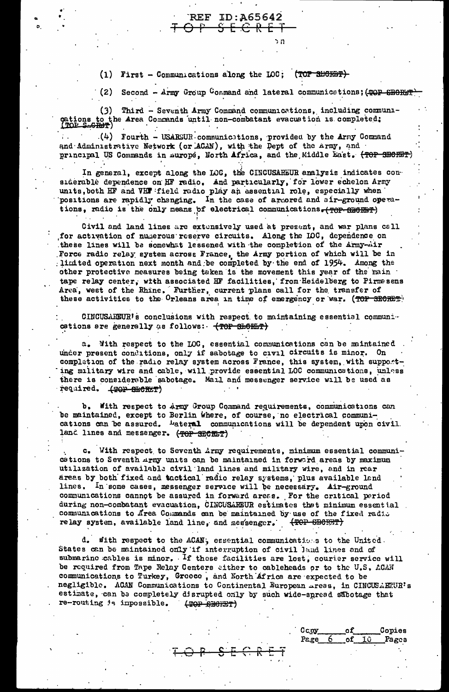(1) First - Communications along the LOC; (TOP SHORET)

**REF ID:A65642** 

<del>S E C R E T</del>

(2) Second - Army Group Command and lateral communications; (POP SECRET)

(3) Third - Seventh Army Command communications, including communications to the Area Commands until non-combatant evacuation is completed;

 $(4)$  Fourth - USARSUR communications, provided by the Army Command and Administrative Network (or ACAN), with the Dept of the Army, and principal US Commands in murope, North Africa, and the Middle East. (TOP SECRET)

In general, except along the LOG, the CINCUSAREUR analysis indicates considerable dependence on HF radio. And particularly, for lower echelon Army units, both HF and VHT field radio play an assential role, especially when positions are rapidly changing. In the case of armored and air-ground operations, radio is the only means of electrical communications. (TOP SHORMP)

Civil and land lines are extensively used at present, and war plans call for activation of numerous reserve circuits. Along the IOC, dependence on<br>these lines will be somewhat lessened with the completion of the Army-Air Force radio relay system across France, the Army portion of which will be in limited operation next month and be completed by the end of 1954. Among the other protective measures being taken is the movement this year of the main tape relay center, with associated HF facilities, from Heidelberg to Pirmssens Area, west of the Rhine. Further, current plans call for the transfer of these activities to the Orleans area in time of emergency or war. (TOP SECRET)

CINCUSAREUR's conclusions with respect to maintaining essential communications are generally as follows: (TOP SECHET)

a. With respect to the LOC, essential communications can be maintained under present conditions, only if sabotage to civil circuits is minor. On completion of the radio relay system across France, this system, with supporting military wire and cable, will provide essential LOC communications, unless there is considerable sabotage. Mail and messenger service will be used as required. (TOP SHORET)

b. With respect to Army Group Command requirements, communications can be maintained, except to Berlin where, of course, no electrical communications can be assured. Lateral communications will be dependent upon civil. land lines and messenger. (TOP SECRET)

c. With respect to Seventh Army requirements, minimum essential communications to Seventh Army units can be maintained in forward areas by maximum utilization of available civil land lines and military wire, and in rear areas by both fixed and tactical radio relay systems, plus available land lines. In some cases, messenger service will be necessary. Air-ground communications cannot be assured in forward areas. For the critical period during non-combatant evacuation, CINCUSAREUR estimates that minimum essential communications to Area Commands can be maintained by use of the fixed radio relay system, available land line, and messenger. (TOP SECRET)

with respect to the ACAN, essential communications to the United. States can be maintained only if interruption of civil land lines and of submarine cables is minor. If these facilities are lost, courier service will be required from Tape Relay Centers either to cableheads or to the U.S. ACAN communications to Turkey, Greece, and North Africa are expected to be negligible. ACAN Communications to Continental European areas, in CINCUSAEEUR's estimate, can be completely disrupted only by such wide-spread sabotage that re-routing is inpossible. (THERE EPRY)

 $C<sub>C</sub>$ oy

Page 6

of

οf

10

Copies

Pages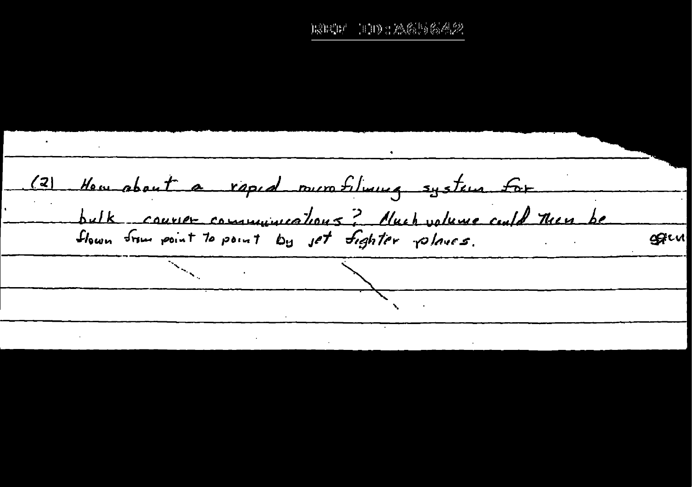ESECH 100:A656642

How about a rapid nurrofilming system for  $(2)$ bulk courser communications? Nuch volume could then be flown from point to point by jet fighter planes. ggru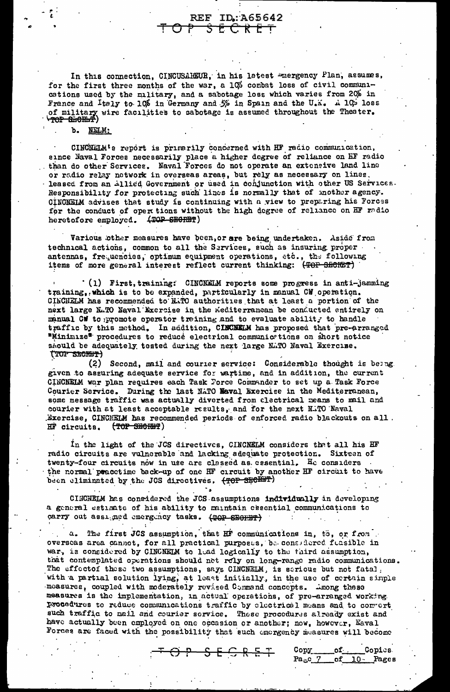In this connection, CINCUSAREUR, in his latest energency Plan, assumes, for the first three months of the war, a 10% combat loss of civil communcations used by the military, and a sabotage loss which varies from 20% in France and Italy to 10% in Germany and 5% in Spain and the U.K. A 10% loss of military wire facilities to sabotage is assumed throughout the Theater.

**REF** 

O₹

ID:A65642

ちをどだをす

## b. NELM:

CINCHELM's report is primarily concerned with HF radio communication, since Naval Forces necessarily place a higher degree of reliance on HF radio than do other Services. Naval Forces do not operate an extensive land line or radio relay network in overseas areas, but rely as necessary on lines. leased from an Allied Government or used in conjunction with other US Services. Responsibility for protecting such lines is normally that of mother agency. CINCNETM advises that study is continuing with a view to preparing his Forces for the conduct of oper tions without the high degree of reliance on HF redio heretofore employed. (TOP SECRET)

Various other measures have been, or are being undertaken. Aside from technical actions, common to all the Services, such as insuring proper antennas, frequencies, optimum equipment operations, etc., the following items of more general interest reflect current thinking: (TOP SECRET)

(1) First, training: CINCNELM reports some progress in anti-jamming training, which is to be expanded, particularly in manual CW operation. CINCNELM has recommended to N.TO authorities that at least a portion of the next large N.TO Naval Exercise in the Mediterranean be conducted entirely on manual CW to promote operator training and to evaluate ability to handle traffic by this method. In addition, CINCNETM has proposed that pre-arranged "Minimize" procedures to reduce electrical communic tions on short notice should be adequately tested during the next large N.TO Naval Exercise. (TOP SECRET)

(2) Second, mail and courier service: Considerable thought is being. given to assuring adequate service for wartime, and in addition, the current CINCNELM war plan requires each Task Force Commander to set up a Task Force Courier Service. During the last NATO Naval Exercise in the Mediterranean, some message traffic was actually diverted from electrical means to mail and courier with at least acceptable results, and for the next NATO Naval Exercise, CINCMELM has recommended periods of enforced radio blackouts on all. (TOP SHORMT) HF circuits.

In the light of the JCS directives, CINCNELM considers that all his HF radio circuits are vulnerable and lacking adequate protection. Sixteen of twenty-four circuits now in use are classed as essential. He considers the normal peacetime back-up of one HF circuit by another HF circuit to have been eliminated by the JCS directives. (TOP SECRET)

CINCNELM has considered the JCS assumptions individually in developing a general estimate of his ability to maintain essential communications to carry out assigned emergency tasks. (TOP SECRET)

a. The first JCS assumption, that HF communications in, to, or from overseas area cannot, for all practical purposes, be considered funsible in war, is considered by CINCNELM to lead logically to the third assumption, that contemplated operations should net roly on long-range radio communications. The effectof these two assumptions, says CINCNELM, is serious but not fatal. with a partial solution lying, at least initially, in the use of certain simple measures, coupled with moderately revised Command concepts. Among these measures is the implementation, in actual operations, of pre-arranged working. procedures to reduce communications traffic by electrical means and to convert such traffic to mail and courier service. These procedures already exist and have actually been employed on one occasion or another; now, however, Naval Forces are faced with the possibility that such energency measures will become

Copy of. **Copies**  $Pa<sub>is</sub>C<sub>2</sub>$ of 10 Pages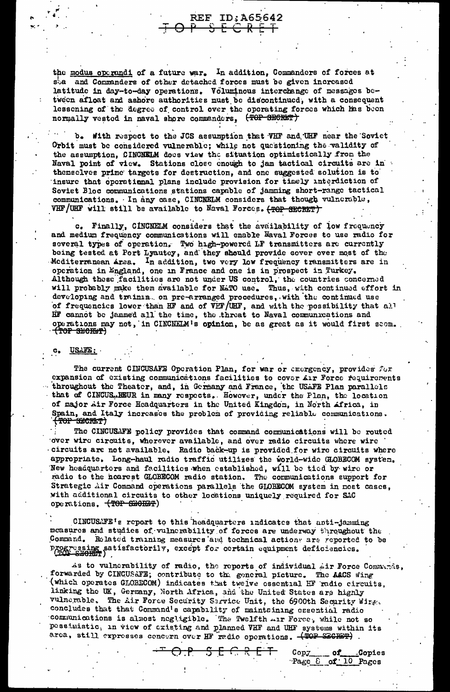the modus operandi of a future war. In addition, Commanders of forces at sta and Commanders of other detached forces must be given increased latitude in day-to-day operations. Voluminous interchange of messages between afloat and ashore authorities must be discontinued, with a consequent lessening of the degree of control over the operating forces which has been normally vested in naval shore commanders, (TOP SECRET)

**REF ID:A65642** 

 $\ddot{\mathcal{R}}$   $\ddot{\mathcal{R}}$ 

b. With respect to the JCS assumption that VHF and UHF near the Soviet Orbit must be considered vulnerable; while not questioning the validity of the assumption, CINCNELM does view the situation optimistically from the Naval point of view. Stations close enough to jam tactical circuits are in themselves prime targets for destruction, and one suggested solution is to insure that operational plans include provision for timely interdiction of Soviet Bloc communications stations capable of jamming short-range tactical communications. In any case, CINCNELM considers that though vulnerable, VHF/UHF will still be available to Naval Forces. <del>(TOP SECRET)</del>

c. Finally, CINCNELM considers that the availability of low frequency and medium frequency communications will enable Naval Forces to use radio for several types of operation. Two high-powered LF transmitters are currently being tested at Port Lyautey, and they should provide cover over most of the Mediterranean Arsa. In addition, two very low frequency transmitters are in operation in England, one in France and one is in prospect in Turkey. Although these facilities are not under US control, the countries concerned will probably make them available for NaTO use. Thus, with continued effort in developing and trainin, on pre-arranged procedures, with the continued use of frequencies lower than HF and of VHF/UHF, and with the possibility that all HF cannot be jammed all the time, the threat to Naval communications and operations may not, in CINCNELM's opinion, be as great as it would first scom. (TOP SHORMT)

### USAFE:

The current CINCUSAFE Operation Plan, for war or emergency, provides for expansion of existing communications facilities to cover Air Force requirements throughout the Theater, and, in Germany and France, the USAFE Plan parallels that of CINCUS. REUR in many respects. However, under the Plan, the location of major Air Force Headquarters in the United Kingdom, in North Africa, in Spain, and Italy increases the problem of providing reliable communications.<br>(TOP SECRET)

The CINCUSAFE policy provides that command communications will be routed over wire circuits, wherever available, and over radio circuits where wire circuits are not available. Radio back-up is provided for wire circuits where appropriate. Long-haul radio traffic utilizes the world-wide GLOBECOM system. New headquarters and facilities when established, will be tied by wire or radio to the nearest GLOBECOM radio station. The communications support for Strategic Air Command operations parallels the GLOBECOM system in most cases, with additional circuits to other locations uniquely required for SAC operations. (TOP SECRET)

CINCUSATE's report to this headquarters indicates that anti-jamming measures and studies of vulnerability of forces are underway throughout the Command. Related training measures and technical actions are reported to be progressing satisfactorily, except for certain equipment deficiencies.

As to vulnerability of radio, the reports of individual Air Force Communis, forwarded by CINCUSAFE; contribute to the goneral picture. The AACS wing (which operates GLOBECOM) indicates that twelve essential HF radio circuits, linking the UK, Germany, North Africa, and the United States are highly vulnerable. The Air Force Security Service Unit, the 6900th Security Wirg. concludes that that Command's capability of maintaining essential radio communications is almost negligible. The Twelfth AIT Force, while not so pessimistic, in view of existing and planned VHF and UHF systems within its area, still expresses concern over HF radio operations. (TOP SECRET)

> <del>2 6 7 8 1</del>  $\overline{\phantom{a}}$  of  $\mathtt{Copy}_{\_}$ **Copies** Page 6 of 10 Pages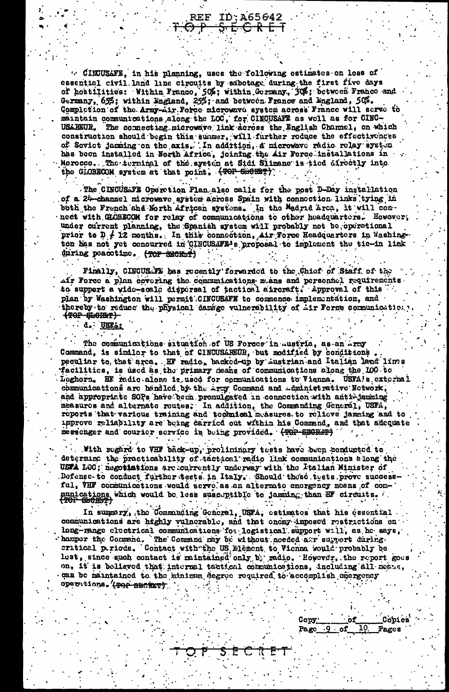. CIRUSAFE, in his planning, uses the following estimates on loss of essential civil land line circuits by sabotage during the first five days of hostilities: Within Franco, 50%; within Germany, 30%; between Franco and Germany, 65%; within Lagland, 25%; and between France and Lingland, 50%. Completion of the Army-Air Force microwave system across France will serve to maintain communications along the LOC, for CINCUSATE as well as for CINC-**USAREUR.** The connecting microwave link across the English Channel, on which construction should begin this summer, will further roduce the effectivences of Soviet jamming on the axis. In addition, a microwave radio relay system has been installed in North Africa, joining the Air Force installations in Morocco. The terminal of the system at Sidi Slimane is tied directly into the GLOBECOM system at that point. (TOP SmORET)

ID:A65642

<del>SECRET</del>

REF

The CINCUSLYE Operation Plan also calls for the post D-Day installation of a 24-channel microwave system across Spain with connection links tying in both the French and North African systems. In the Madrid Arca, it will connect with GLOBECOM for relay of communications to other headquarters. However, under current planning, the Spanish system will probably not be operational prior to  $D \neq 12$  months. In this connection, Air Force Headquarters in Washington has not yet concurred in CHRCUSAFE-1s proposal to implement the tie-in link during peacetime. (TOP SECRET)

Finally, CINCUSATE has recently forwarded to the Chief of Staff of the Air Force a plan covering the communications means and personnel requirements to support a vide-scale dispersal of tactical aircraft. Approval of this plan by Washington will permit CINCUSAFE to commence implementation, and thereby to reduce the physical damage vulnerability of Air Force communication. <del>(TOP CLORET)</del>

 $d_{\bullet}$ : USTA:

The communications situation of US Forces in Austria, as an Army Command, is similar to that of CINCUSAREUR, but modified by conditions. peculiar to that arca. HF radio, backed-up by Austrian and Italian land lims facilitics, is used as the primary means of communications along the IOC to Leghorn. HE radio alone is used for communications to Vienna. USFA's external communications are handled by the Arty Command and Aministrative Network, and appropriate SOPs have been promulgated in connection with anti-jamming measures and alternate routes. In addition, the Commanding General, USFA, reports that various training and technical measures to relieve jamming and to Approve reliability are being carried out within his Command, and that adequate messenger and courier service is being provided. (TOP SECRET)

With regard to VHF back-up, prolininary tests have been conducted to determine the practicability of tactical radio link communications along the USFA LOC; negotiations are currently underway with the Italian Minister of Defense-to conduct further tests in Italy. Should these tests prove successful, VHF communications would serve as an alternate energency mesns of conmunications which would be less susceptible to jamming than HF circuits.

In summary, the Communing General, USFA, estimates that his essential communications are highly vulnerable, and that enemy imposed restrictions on long-range electrical communications for logistical support will, as he says, hamper the Command . The Command may be without needed and surround during. lost, since such contact is mintained only by radio. However, the report goes on, it is believed that internal tactical communications, including all means, can be maintained to the minimum degree required to accomplish emergency operations. (POP SECRET)

> Cobies Cooy: оf  $10<sub>1</sub>$ Page. Pages <u>.9 of</u>